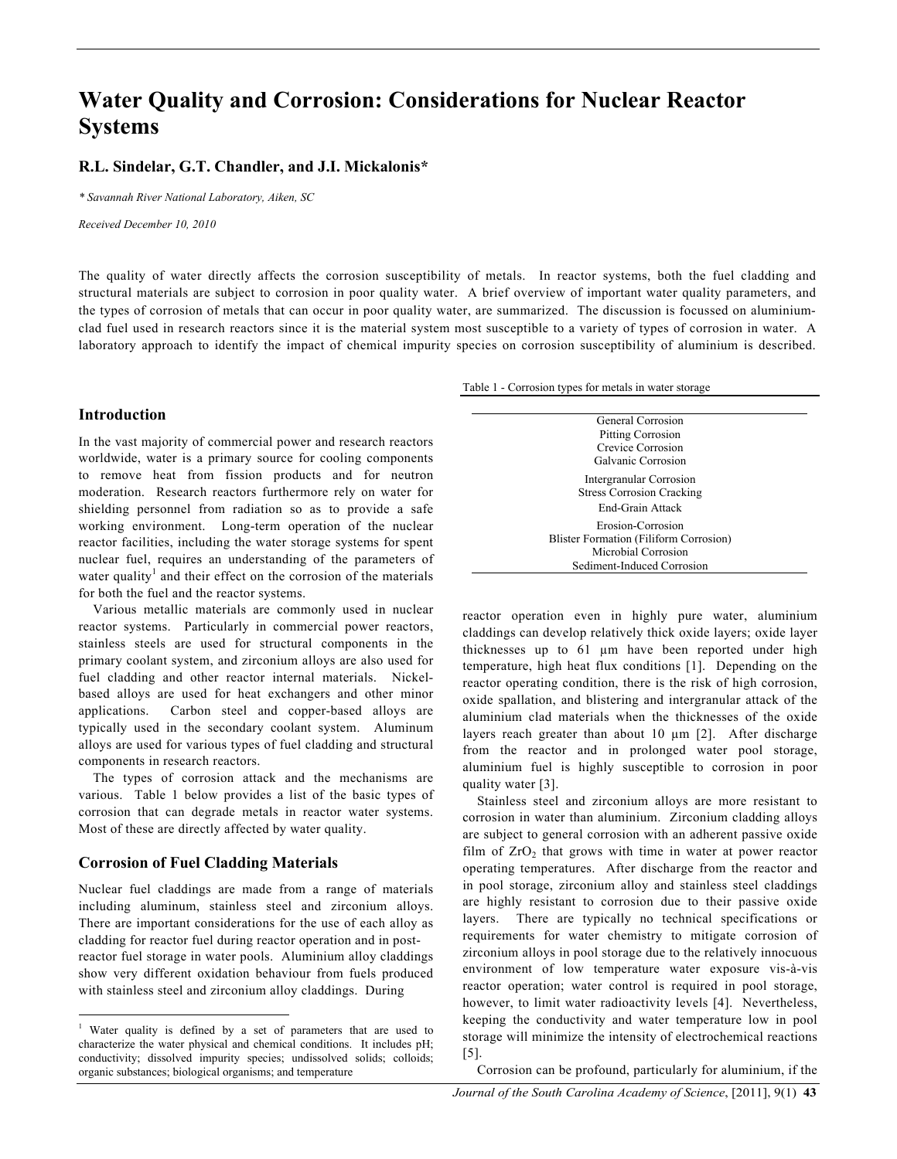# **Water Quality and Corrosion: Considerations for Nuclear Reactor Systems**

## **R.L. Sindelar, G.T. Chandler, and J.I. Mickalonis\***

*\* Savannah River National Laboratory, Aiken, SC*

*Received December 10, 2010*

The quality of water directly affects the corrosion susceptibility of metals. In reactor systems, both the fuel cladding and structural materials are subject to corrosion in poor quality water. A brief overview of important water quality parameters, and the types of corrosion of metals that can occur in poor quality water, are summarized. The discussion is focussed on aluminiumclad fuel used in research reactors since it is the material system most susceptible to a variety of types of corrosion in water. A laboratory approach to identify the impact of chemical impurity species on corrosion susceptibility of aluminium is described.

Table 1 - Corrosion types for metals in water storage

### **Introduction**

In the vast majority of commercial power and research reactors worldwide, water is a primary source for cooling components to remove heat from fission products and for neutron moderation. Research reactors furthermore rely on water for shielding personnel from radiation so as to provide a safe working environment. Long-term operation of the nuclear reactor facilities, including the water storage systems for spent nuclear fuel, requires an understanding of the parameters of water quality<sup>1</sup> and their effect on the corrosion of the materials for both the fuel and the reactor systems.

Various metallic materials are commonly used in nuclear reactor systems. Particularly in commercial power reactors, stainless steels are used for structural components in the primary coolant system, and zirconium alloys are also used for fuel cladding and other reactor internal materials. Nickelbased alloys are used for heat exchangers and other minor applications. Carbon steel and copper-based alloys are typically used in the secondary coolant system. Aluminum alloys are used for various types of fuel cladding and structural components in research reactors.

The types of corrosion attack and the mechanisms are various. Table 1 below provides a list of the basic types of corrosion that can degrade metals in reactor water systems. Most of these are directly affected by water quality.

#### **Corrosion of Fuel Cladding Materials**

Nuclear fuel claddings are made from a range of materials including aluminum, stainless steel and zirconium alloys. There are important considerations for the use of each alloy as cladding for reactor fuel during reactor operation and in postreactor fuel storage in water pools. Aluminium alloy claddings show very different oxidation behaviour from fuels produced with stainless steel and zirconium alloy claddings. During

General Corrosion Pitting Corrosion Crevice Corrosion Galvanic Corrosion Intergranular Corrosion Stress Corrosion Cracking End-Grain Attack Erosion-Corrosion Blister Formation (Filiform Corrosion) Microbial Corrosion Sediment-Induced Corrosion

reactor operation even in highly pure water, aluminium claddings can develop relatively thick oxide layers; oxide layer thicknesses up to 61 µm have been reported under high temperature, high heat flux conditions [1]. Depending on the reactor operating condition, there is the risk of high corrosion, oxide spallation, and blistering and intergranular attack of the aluminium clad materials when the thicknesses of the oxide layers reach greater than about 10  $\mu$ m [2]. After discharge from the reactor and in prolonged water pool storage, aluminium fuel is highly susceptible to corrosion in poor quality water [3].

Stainless steel and zirconium alloys are more resistant to corrosion in water than aluminium. Zirconium cladding alloys are subject to general corrosion with an adherent passive oxide film of  $ZrO<sub>2</sub>$  that grows with time in water at power reactor operating temperatures. After discharge from the reactor and in pool storage, zirconium alloy and stainless steel claddings are highly resistant to corrosion due to their passive oxide layers. There are typically no technical specifications or requirements for water chemistry to mitigate corrosion of zirconium alloys in pool storage due to the relatively innocuous environment of low temperature water exposure vis-à-vis reactor operation; water control is required in pool storage, however, to limit water radioactivity levels [4]. Nevertheless, keeping the conductivity and water temperature low in pool storage will minimize the intensity of electrochemical reactions [5].

Corrosion can be profound, particularly for aluminium, if the

 <sup>1</sup> Water quality is defined by a set of parameters that are used to characterize the water physical and chemical conditions. It includes pH; conductivity; dissolved impurity species; undissolved solids; colloids; organic substances; biological organisms; and temperature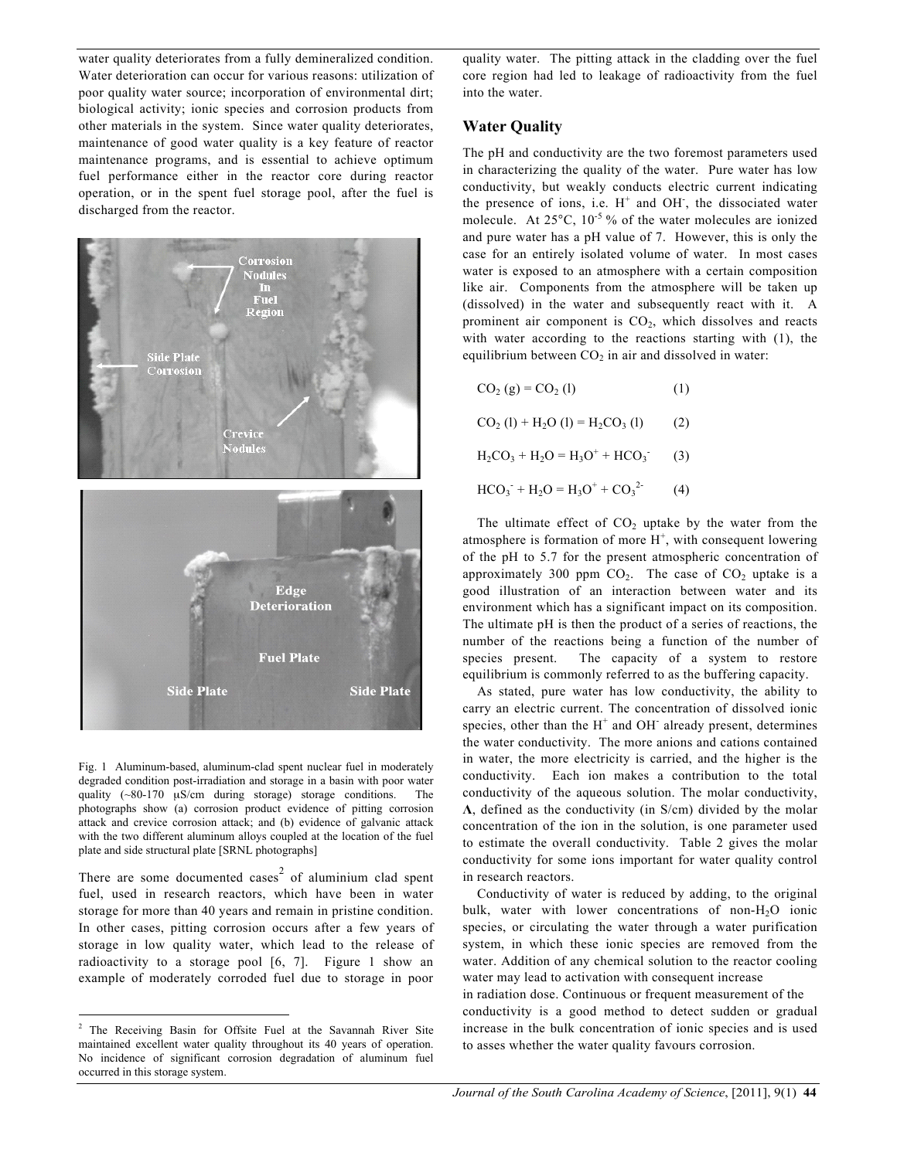water quality deteriorates from a fully demineralized condition. Water deterioration can occur for various reasons: utilization of poor quality water source; incorporation of environmental dirt; biological activity; ionic species and corrosion products from other materials in the system. Since water quality deteriorates, maintenance of good water quality is a key feature of reactor maintenance programs, and is essential to achieve optimum fuel performance either in the reactor core during reactor operation, or in the spent fuel storage pool, after the fuel is discharged from the reactor.



Fig. 1 Aluminum-based, aluminum-clad spent nuclear fuel in moderately degraded condition post-irradiation and storage in a basin with poor water quality (~80-170 µS/cm during storage) storage conditions. The photographs show (a) corrosion product evidence of pitting corrosion attack and crevice corrosion attack; and (b) evidence of galvanic attack with the two different aluminum alloys coupled at the location of the fuel plate and side structural plate [SRNL photographs]

There are some documented cases<sup>2</sup> of aluminium clad spent fuel, used in research reactors, which have been in water storage for more than 40 years and remain in pristine condition. In other cases, pitting corrosion occurs after a few years of storage in low quality water, which lead to the release of radioactivity to a storage pool [6, 7]. Figure 1 show an example of moderately corroded fuel due to storage in poor

quality water. The pitting attack in the cladding over the fuel core region had led to leakage of radioactivity from the fuel into the water.

## **Water Quality**

The pH and conductivity are the two foremost parameters used in characterizing the quality of the water. Pure water has low conductivity, but weakly conducts electric current indicating the presence of ions, i.e.  $H^+$  and OH, the dissociated water molecule. At  $25^{\circ}$ C,  $10^{-5}$ % of the water molecules are ionized and pure water has a pH value of 7. However, this is only the case for an entirely isolated volume of water. In most cases water is exposed to an atmosphere with a certain composition like air. Components from the atmosphere will be taken up (dissolved) in the water and subsequently react with it. A prominent air component is  $CO<sub>2</sub>$ , which dissolves and reacts with water according to the reactions starting with (1), the equilibrium between  $CO<sub>2</sub>$  in air and dissolved in water:

| $CO2(g) = CO2(1)$                                                     | (1) |
|-----------------------------------------------------------------------|-----|
| $CO2$ (1) + H <sub>2</sub> O (1) = H <sub>2</sub> CO <sub>3</sub> (1) | (2) |
| $H_2CO_3 + H_2O = H_3O^+ + HCO_3^-$                                   | (3) |
| $HCO_3$ <sup>+</sup> $H_2O = H_3O^+ + CO_3^{2}$                       | (4) |

The ultimate effect of  $CO<sub>2</sub>$  uptake by the water from the atmosphere is formation of more  $H^+$ , with consequent lowering of the pH to 5.7 for the present atmospheric concentration of approximately 300 ppm  $CO<sub>2</sub>$ . The case of  $CO<sub>2</sub>$  uptake is a good illustration of an interaction between water and its environment which has a significant impact on its composition. The ultimate pH is then the product of a series of reactions, the number of the reactions being a function of the number of species present. The capacity of a system to restore equilibrium is commonly referred to as the buffering capacity.

As stated, pure water has low conductivity, the ability to carry an electric current. The concentration of dissolved ionic species, other than the  $H^+$  and OH<sup>-</sup> already present, determines the water conductivity. The more anions and cations contained in water, the more electricity is carried, and the higher is the conductivity. Each ion makes a contribution to the total conductivity of the aqueous solution. The molar conductivity, **Λ**, defined as the conductivity (in S/cm) divided by the molar concentration of the ion in the solution, is one parameter used to estimate the overall conductivity. Table 2 gives the molar conductivity for some ions important for water quality control in research reactors.

Conductivity of water is reduced by adding, to the original bulk, water with lower concentrations of non- $H_2O$  ionic species, or circulating the water through a water purification system, in which these ionic species are removed from the water. Addition of any chemical solution to the reactor cooling water may lead to activation with consequent increase in radiation dose. Continuous or frequent measurement of the conductivity is a good method to detect sudden or gradual increase in the bulk concentration of ionic species and is used to asses whether the water quality favours corrosion.

 <sup>2</sup> The Receiving Basin for Offsite Fuel at the Savannah River Site maintained excellent water quality throughout its 40 years of operation. No incidence of significant corrosion degradation of aluminum fuel occurred in this storage system.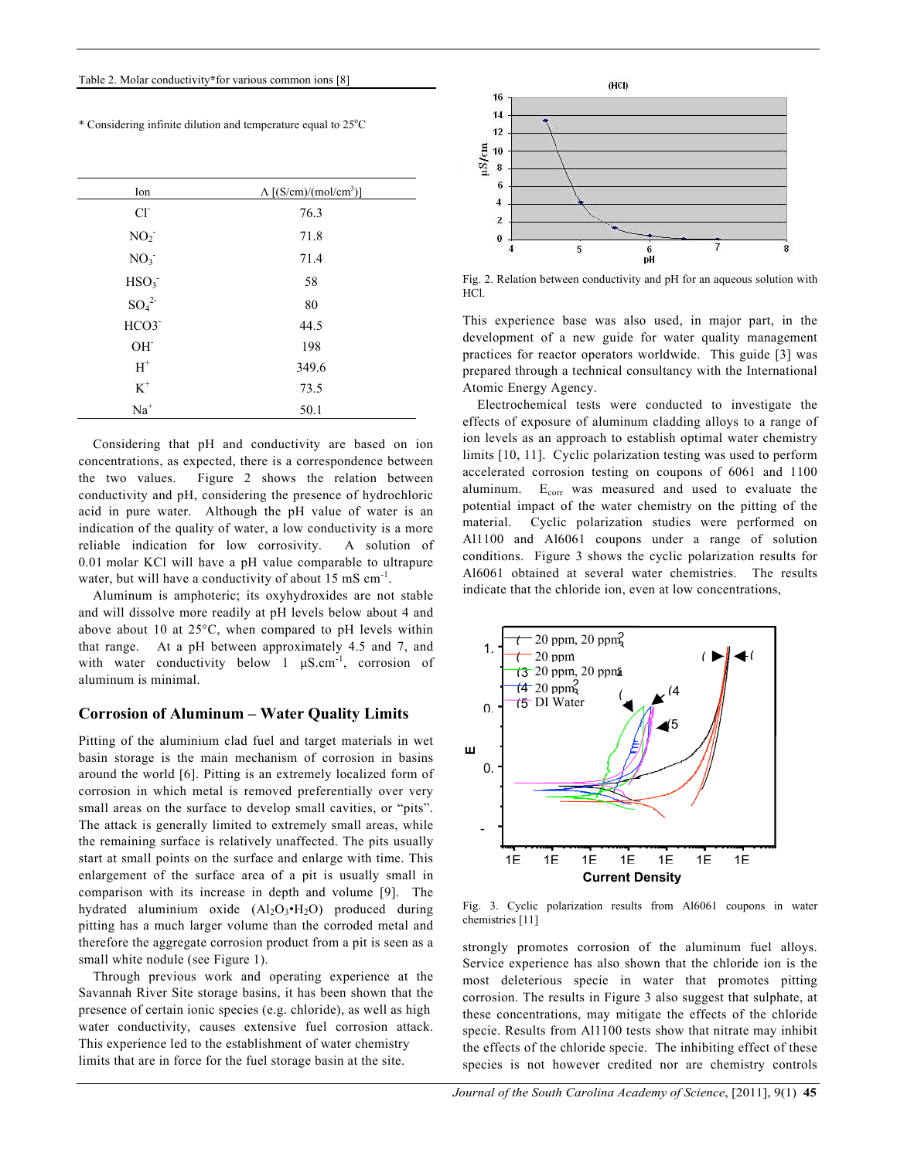\* Considering infinite dilution and temperature equal to 25°C

| Ion                  | $\Lambda$ [(S/cm)/(mol/cm <sup>3</sup> )] |
|----------------------|-------------------------------------------|
| $Cl-$                | 76.3                                      |
| NO <sub>2</sub>      | 71.8                                      |
| NO <sub>3</sub>      | 71.4                                      |
| HSO <sub>3</sub>     | 58                                        |
| $SO_4^2$             | 80                                        |
| HCO3 <sup>-</sup>    | 44.5                                      |
| OH <sup>-</sup>      | 198                                       |
| $\operatorname{H}^+$ | 349.6                                     |
| $\mbox{K}^+$         | 73.5                                      |
| $Na+$                | 50.1                                      |

Considering that pH and conductivity are based on ion concentrations, as expected, there is a correspondence between the two values. Figure 2 shows the relation between conductivity and pH, considering the presence of hydrochloric acid in pure water. Although the pH value of water is an indication of the quality of water, a low conductivity is a more reliable indication for low corrosivity. A solution of 0.01 molar KCl will have a pH value comparable to ultrapure water, but will have a conductivity of about 15 mS  $cm^{-1}$ .

Aluminum is amphoteric; its oxyhydroxides are not stable and will dissolve more readily at pH levels below about 4 and above about 10 at 25°C, when compared to pH levels within that range. At a pH between approximately 4.5 and 7, and with water conductivity below 1  $\mu$ S.cm<sup>-1</sup>, corrosion of aluminum is minimal.

#### **Corrosion of Aluminum – Water Quality Limits**

Pitting of the aluminium clad fuel and target materials in wet basin storage is the main mechanism of corrosion in basins around the world [6]. Pitting is an extremely localized form of corrosion in which metal is removed preferentially over very small areas on the surface to develop small cavities, or "pits". The attack is generally limited to extremely small areas, while the remaining surface is relatively unaffected. The pits usually start at small points on the surface and enlarge with time. This enlargement of the surface area of a pit is usually small in comparison with its increase in depth and volume [9]. The hydrated aluminium oxide  $(Al_2O_3 \cdot H_2O)$  produced during pitting has a much larger volume than the corroded metal and therefore the aggregate corrosion product from a pit is seen as a small white nodule (see Figure 1).

Through previous work and operating experience at the Savannah River Site storage basins, it has been shown that the presence of certain ionic species (e.g. chloride), as well as high water conductivity, causes extensive fuel corrosion attack. This experience led to the establishment of water chemistry limits that are in force for the fuel storage basin at the site.



Fig. 2. Relation between conductivity and pH for an aqueous solution with HCl.

This experience base was also used, in major part, in the development of a new guide for water quality management practices for reactor operators worldwide. This guide [3] was prepared through a technical consultancy with the International Atomic Energy Agency.

Electrochemical tests were conducted to investigate the effects of exposure of aluminum cladding alloys to a range of ion levels as an approach to establish optimal water chemistry limits [10, 11]. Cyclic polarization testing was used to perform accelerated corrosion testing on coupons of 6061 and 1100 aluminum.  $E_{corr}$  was measured and used to evaluate the potential impact of the water chemistry on the pitting of the material. Cyclic polarization studies were performed on Al1100 and Al6061 coupons under a range of solution conditions. Figure 3 shows the cyclic polarization results for Al6061 obtained at several water chemistries. The results indicate that the chloride ion, even at low concentrations,



Fig. 3. Cyclic polarization results from Al6061 coupons in water chemistries [11]

strongly promotes corrosion of the aluminum fuel alloys. Service experience has also shown that the chloride ion is the most deleterious specie in water that promotes pitting corrosion. The results in Figure 3 also suggest that sulphate, at these concentrations, may mitigate the effects of the chloride specie. Results from Al1100 tests show that nitrate may inhibit the effects of the chloride specie. The inhibiting effect of these species is not however credited nor are chemistry controls